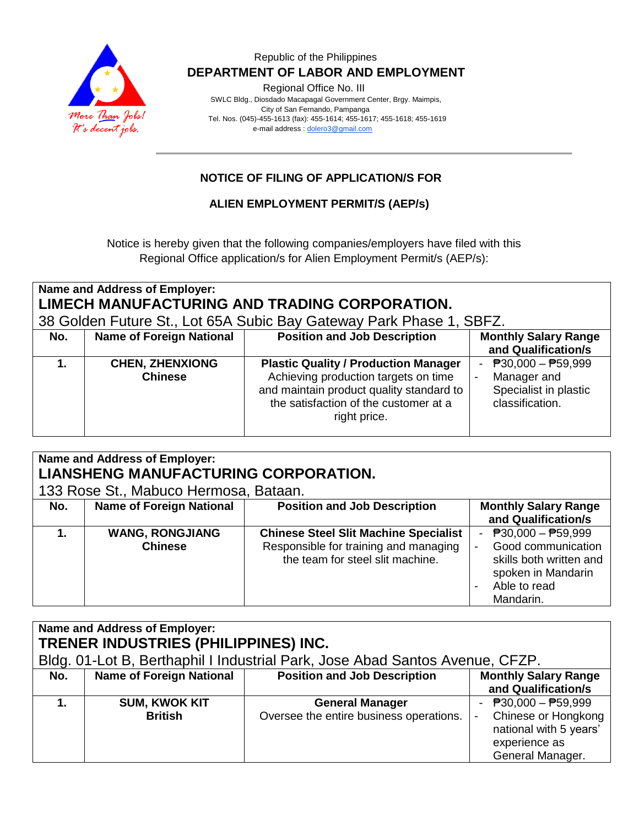

Regional Office No. III

 SWLC Bldg., Diosdado Macapagal Government Center, Brgy. Maimpis, City of San Fernando, Pampanga Tel. Nos. (045)-455-1613 (fax): 455-1614; 455-1617; 455-1618; 455-1619 e-mail address [: dolero3@gmail.com](mailto:dolero3@gmail.com)

## **NOTICE OF FILING OF APPLICATION/S FOR**

## **ALIEN EMPLOYMENT PERMIT/S (AEP/s)**

Notice is hereby given that the following companies/employers have filed with this Regional Office application/s for Alien Employment Permit/s (AEP/s):

# **Name and Address of Employer: LIMECH MANUFACTURING AND TRADING CORPORATION.**

38 Golden Future St., Lot 65A Subic Bay Gateway Park Phase 1, SBFZ.

| No. | <b>Name of Foreign National</b>          | <b>Position and Job Description</b>                                                                                                                                                      | <b>Monthly Salary Range</b><br>and Qualification/s                                                   |
|-----|------------------------------------------|------------------------------------------------------------------------------------------------------------------------------------------------------------------------------------------|------------------------------------------------------------------------------------------------------|
|     | <b>CHEN, ZHENXIONG</b><br><b>Chinese</b> | <b>Plastic Quality / Production Manager</b><br>Achieving production targets on time<br>and maintain product quality standard to<br>the satisfaction of the customer at a<br>right price. | $\overline{P}30,000 - \overline{P}59,999$<br>Manager and<br>Specialist in plastic<br>classification. |

| <b>Name and Address of Employer:</b><br><b>LIANSHENG MANUFACTURING CORPORATION.</b><br>133 Rose St., Mabuco Hermosa, Bataan. |                                          |                                                                                                                           |                                                                                                                                                                 |
|------------------------------------------------------------------------------------------------------------------------------|------------------------------------------|---------------------------------------------------------------------------------------------------------------------------|-----------------------------------------------------------------------------------------------------------------------------------------------------------------|
| No.                                                                                                                          | <b>Name of Foreign National</b>          | <b>Position and Job Description</b>                                                                                       | <b>Monthly Salary Range</b><br>and Qualification/s                                                                                                              |
|                                                                                                                              | <b>WANG, RONGJIANG</b><br><b>Chinese</b> | <b>Chinese Steel Slit Machine Specialist</b><br>Responsible for training and managing<br>the team for steel slit machine. | $\overline{P}30,000 - \overline{P}59,999$<br>Good communication<br>$\blacksquare$<br>skills both written and<br>spoken in Mandarin<br>Able to read<br>Mandarin. |

| Name and Address of Employer:<br>TRENER INDUSTRIES (PHILIPPINES) INC.<br>Bldg. 01-Lot B, Berthaphil I Industrial Park, Jose Abad Santos Avenue, CFZP. |                                        |                                                                   |                                                                                                                  |
|-------------------------------------------------------------------------------------------------------------------------------------------------------|----------------------------------------|-------------------------------------------------------------------|------------------------------------------------------------------------------------------------------------------|
| <b>Monthly Salary Range</b><br><b>Name of Foreign National</b><br><b>Position and Job Description</b><br>No.<br>and Qualification/s                   |                                        |                                                                   |                                                                                                                  |
|                                                                                                                                                       | <b>SUM, KWOK KIT</b><br><b>British</b> | <b>General Manager</b><br>Oversee the entire business operations. | - $P30,000 - P59,999$<br>Chinese or Hongkong<br>-<br>national with 5 years'<br>experience as<br>General Manager. |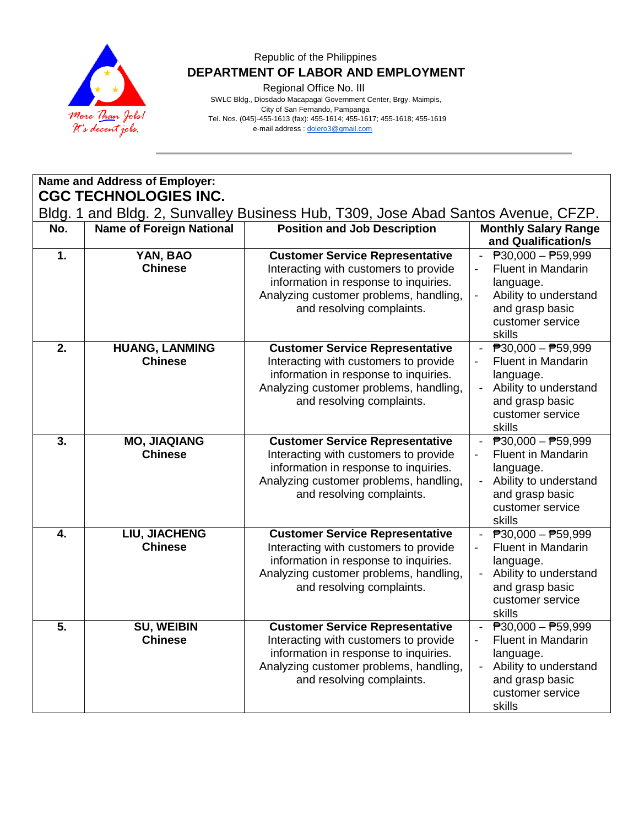

Regional Office No. III

 SWLC Bldg., Diosdado Macapagal Government Center, Brgy. Maimpis, City of San Fernando, Pampanga Tel. Nos. (045)-455-1613 (fax): 455-1614; 455-1617; 455-1618; 455-1619 e-mail address [: dolero3@gmail.com](mailto:dolero3@gmail.com)

|                                                                                   | Name and Address of Employer:   |                                                                                 |                                                                        |  |
|-----------------------------------------------------------------------------------|---------------------------------|---------------------------------------------------------------------------------|------------------------------------------------------------------------|--|
|                                                                                   | <b>CGC TECHNOLOGIES INC.</b>    |                                                                                 |                                                                        |  |
| Bldg. 1 and Bldg. 2, Sunvalley Business Hub, T309, Jose Abad Santos Avenue, CFZP. |                                 |                                                                                 |                                                                        |  |
|                                                                                   |                                 |                                                                                 |                                                                        |  |
| No.                                                                               | <b>Name of Foreign National</b> | <b>Position and Job Description</b>                                             | <b>Monthly Salary Range</b><br>and Qualification/s                     |  |
| $\overline{1}$ .                                                                  | YAN, BAO                        | <b>Customer Service Representative</b>                                          | $\overline{P}30,000 - \overline{P}59,999$<br>$\blacksquare$            |  |
|                                                                                   | <b>Chinese</b>                  | Interacting with customers to provide                                           | <b>Fluent in Mandarin</b><br>$\overline{\phantom{a}}$                  |  |
|                                                                                   |                                 | information in response to inquiries.                                           | language.                                                              |  |
|                                                                                   |                                 | Analyzing customer problems, handling,                                          | Ability to understand                                                  |  |
|                                                                                   |                                 | and resolving complaints.                                                       | and grasp basic                                                        |  |
|                                                                                   |                                 |                                                                                 | customer service                                                       |  |
|                                                                                   |                                 |                                                                                 | skills                                                                 |  |
| 2.                                                                                | <b>HUANG, LANMING</b>           | <b>Customer Service Representative</b>                                          | $\overline{P}30,000 - \overline{P}59,999$                              |  |
|                                                                                   | <b>Chinese</b>                  | Interacting with customers to provide                                           | <b>Fluent in Mandarin</b><br>$\frac{1}{2}$                             |  |
|                                                                                   |                                 | information in response to inquiries.                                           | language.<br>$\overline{\phantom{a}}$                                  |  |
|                                                                                   |                                 | Analyzing customer problems, handling,<br>and resolving complaints.             | Ability to understand<br>and grasp basic                               |  |
|                                                                                   |                                 |                                                                                 | customer service                                                       |  |
|                                                                                   |                                 |                                                                                 | skills                                                                 |  |
| 3.                                                                                | <b>MO, JIAQIANG</b>             | <b>Customer Service Representative</b>                                          | $\overline{P}30,000 - \overline{P}59,999$<br>$\overline{\phantom{a}}$  |  |
|                                                                                   | <b>Chinese</b>                  | Interacting with customers to provide                                           | <b>Fluent in Mandarin</b>                                              |  |
|                                                                                   |                                 | information in response to inquiries.                                           | language.                                                              |  |
|                                                                                   |                                 | Analyzing customer problems, handling,                                          | Ability to understand<br>÷,                                            |  |
|                                                                                   |                                 | and resolving complaints.                                                       | and grasp basic                                                        |  |
|                                                                                   |                                 |                                                                                 | customer service                                                       |  |
|                                                                                   |                                 |                                                                                 | skills                                                                 |  |
| $\overline{4}$ .                                                                  | LIU, JIACHENG<br><b>Chinese</b> | <b>Customer Service Representative</b><br>Interacting with customers to provide | $\overline{P}30,000 - \overline{P}59,999$<br><b>Fluent in Mandarin</b> |  |
|                                                                                   |                                 | information in response to inquiries.                                           | language.                                                              |  |
|                                                                                   |                                 | Analyzing customer problems, handling,                                          | Ability to understand<br>$\blacksquare$                                |  |
|                                                                                   |                                 | and resolving complaints.                                                       | and grasp basic                                                        |  |
|                                                                                   |                                 |                                                                                 | customer service                                                       |  |
|                                                                                   |                                 |                                                                                 | skills                                                                 |  |
| $\overline{5}$ .                                                                  | <b>SU, WEIBIN</b>               | <b>Customer Service Representative</b>                                          | $\overline{P}30,000 - \overline{P}59,999$<br>$\overline{\phantom{a}}$  |  |
|                                                                                   | <b>Chinese</b>                  | Interacting with customers to provide                                           | <b>Fluent in Mandarin</b>                                              |  |
|                                                                                   |                                 | information in response to inquiries.                                           | language.                                                              |  |
|                                                                                   |                                 | Analyzing customer problems, handling,                                          | Ability to understand<br>$\blacksquare$                                |  |
|                                                                                   |                                 | and resolving complaints.                                                       | and grasp basic<br>customer service                                    |  |
|                                                                                   |                                 |                                                                                 | skills                                                                 |  |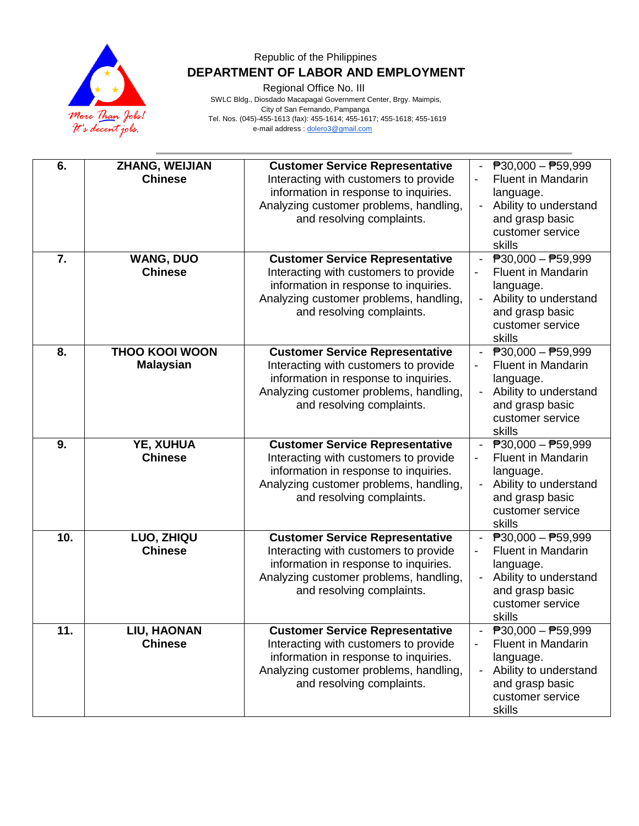

Regional Office No. III

 SWLC Bldg., Diosdado Macapagal Government Center, Brgy. Maimpis, City of San Fernando, Pampanga Tel. Nos. (045)-455-1613 (fax): 455-1614; 455-1617; 455-1618; 455-1619 e-mail address [: dolero3@gmail.com](mailto:dolero3@gmail.com)

| 6.  | ZHANG, WEIJIAN<br><b>Chinese</b>          | <b>Customer Service Representative</b><br>Interacting with customers to provide<br>information in response to inquiries.<br>Analyzing customer problems, handling,<br>and resolving complaints. | $\overline{P}30,000 - \overline{P}59,999$<br><b>Fluent in Mandarin</b><br>language.<br>Ability to understand<br>and grasp basic<br>customer service<br>skills                             |
|-----|-------------------------------------------|-------------------------------------------------------------------------------------------------------------------------------------------------------------------------------------------------|-------------------------------------------------------------------------------------------------------------------------------------------------------------------------------------------|
| 7.  | <b>WANG, DUO</b><br><b>Chinese</b>        | <b>Customer Service Representative</b><br>Interacting with customers to provide<br>information in response to inquiries.<br>Analyzing customer problems, handling,<br>and resolving complaints. | $\overline{P}30,000 - \overline{P}59,999$<br><b>Fluent in Mandarin</b><br>language.<br>Ability to understand<br>and grasp basic<br>customer service<br>skills                             |
| 8.  | <b>THOO KOOI WOON</b><br><b>Malaysian</b> | <b>Customer Service Representative</b><br>Interacting with customers to provide<br>information in response to inquiries.<br>Analyzing customer problems, handling,<br>and resolving complaints. | $\overline{P}30,000 - \overline{P}59,999$<br><b>Fluent in Mandarin</b><br>$\overline{\phantom{0}}$<br>language.<br>Ability to understand<br>and grasp basic<br>customer service<br>skills |
| 9.  | YE, XUHUA<br><b>Chinese</b>               | <b>Customer Service Representative</b><br>Interacting with customers to provide<br>information in response to inquiries.<br>Analyzing customer problems, handling,<br>and resolving complaints. | $\overline{P}30,000 - \overline{P}59,999$<br><b>Fluent in Mandarin</b><br>$\blacksquare$<br>language.<br>Ability to understand<br>and grasp basic<br>customer service<br>skills           |
| 10. | LUO, ZHIQU<br><b>Chinese</b>              | <b>Customer Service Representative</b><br>Interacting with customers to provide<br>information in response to inquiries.<br>Analyzing customer problems, handling,<br>and resolving complaints. | $P30,000 - P59,999$<br><b>Fluent in Mandarin</b><br>$\blacksquare$<br>language.<br>Ability to understand<br>and grasp basic<br>customer service<br>skills                                 |
| 11. | LIU, HAONAN<br><b>Chinese</b>             | <b>Customer Service Representative</b><br>Interacting with customers to provide<br>information in response to inquiries.<br>Analyzing customer problems, handling,<br>and resolving complaints. | $\overline{P}30,000 - \overline{P}59,999$<br><b>Fluent in Mandarin</b><br>language.<br>Ability to understand<br>and grasp basic<br>customer service<br>skills                             |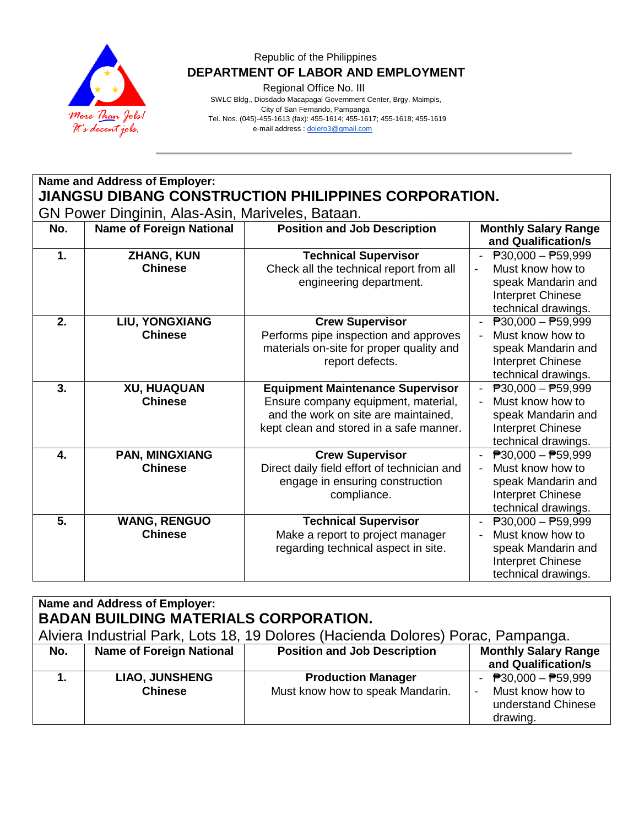

Regional Office No. III

 SWLC Bldg., Diosdado Macapagal Government Center, Brgy. Maimpis, City of San Fernando, Pampanga Tel. Nos. (045)-455-1613 (fax): 455-1614; 455-1617; 455-1618; 455-1619 e-mail address [: dolero3@gmail.com](mailto:dolero3@gmail.com)

## **Name and Address of Employer: JIANGSU DIBANG CONSTRUCTION PHILIPPINES CORPORATION.**

GN Power Dinginin, Alas-Asin, Mariveles, Bataan.

| No.            | <b>Name of Foreign National</b> | <b>Position and Job Description</b>         | <b>Monthly Salary Range</b>               |
|----------------|---------------------------------|---------------------------------------------|-------------------------------------------|
|                |                                 |                                             | and Qualification/s                       |
| $\mathbf{1}$ . | <b>ZHANG, KUN</b>               | <b>Technical Supervisor</b>                 | $P30,000 - P59,999$                       |
|                | <b>Chinese</b>                  | Check all the technical report from all     | Must know how to                          |
|                |                                 | engineering department.                     | speak Mandarin and                        |
|                |                                 |                                             | Interpret Chinese                         |
|                |                                 |                                             | technical drawings.                       |
| 2.             | LIU, YONGXIANG                  | <b>Crew Supervisor</b>                      | $\overline{P}30,000 - \overline{P}59,999$ |
|                | <b>Chinese</b>                  | Performs pipe inspection and approves       | Must know how to                          |
|                |                                 | materials on-site for proper quality and    | speak Mandarin and                        |
|                |                                 | report defects.                             | Interpret Chinese                         |
|                |                                 |                                             | technical drawings.                       |
| 3.             | <b>XU, HUAQUAN</b>              | <b>Equipment Maintenance Supervisor</b>     | $\overline{P}30,000 - \overline{P}59,999$ |
|                | <b>Chinese</b>                  | Ensure company equipment, material,         | Must know how to<br>$\blacksquare$        |
|                |                                 | and the work on site are maintained,        | speak Mandarin and                        |
|                |                                 | kept clean and stored in a safe manner.     | Interpret Chinese                         |
|                |                                 |                                             | technical drawings.                       |
| 4.             | <b>PAN, MINGXIANG</b>           | <b>Crew Supervisor</b>                      | $\overline{P}30,000 - \overline{P}59,999$ |
|                | <b>Chinese</b>                  | Direct daily field effort of technician and | Must know how to                          |
|                |                                 | engage in ensuring construction             | speak Mandarin and                        |
|                |                                 | compliance.                                 | Interpret Chinese                         |
|                |                                 |                                             | technical drawings.                       |
| 5.             | <b>WANG, RENGUO</b>             | <b>Technical Supervisor</b>                 | $\overline{P}30,000 - \overline{P}59,999$ |
|                | <b>Chinese</b>                  | Make a report to project manager            | Must know how to                          |
|                |                                 | regarding technical aspect in site.         | speak Mandarin and                        |
|                |                                 |                                             | Interpret Chinese                         |
|                |                                 |                                             | technical drawings.                       |

| <b>Name and Address of Employer:</b>                                             |                                 |                                     |                                    |  |
|----------------------------------------------------------------------------------|---------------------------------|-------------------------------------|------------------------------------|--|
| <b>BADAN BUILDING MATERIALS CORPORATION.</b>                                     |                                 |                                     |                                    |  |
| Alviera Industrial Park, Lots 18, 19 Dolores (Hacienda Dolores) Porac, Pampanga. |                                 |                                     |                                    |  |
| No.                                                                              | <b>Name of Foreign National</b> | <b>Position and Job Description</b> | <b>Monthly Salary Range</b>        |  |
|                                                                                  |                                 |                                     | and Qualification/s                |  |
|                                                                                  | <b>LIAO, JUNSHENG</b>           | <b>Production Manager</b>           | - $P30,000 - P59,999$              |  |
|                                                                                  | <b>Chinese</b>                  | Must know how to speak Mandarin.    | Must know how to<br>$\blacksquare$ |  |
|                                                                                  |                                 |                                     | understand Chinese                 |  |
|                                                                                  |                                 |                                     | drawing.                           |  |